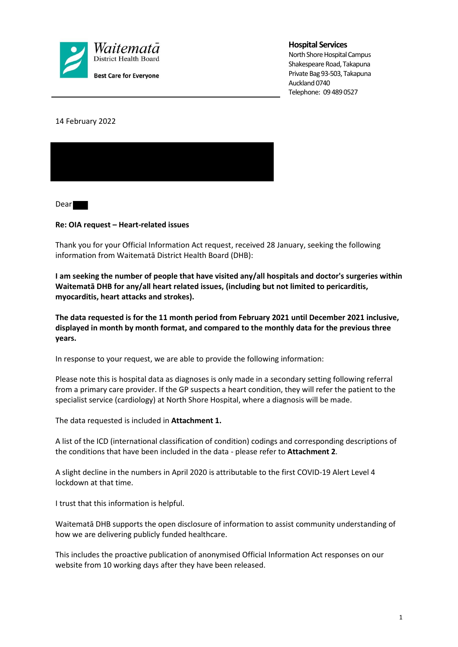

#### **Hospital Services**

North Shore Hospital Campus Shakespeare Road, Takapuna Private Bag 93-503, Takapuna Auckland 0740 Telephone: 09 489 0527

14 February 2022



Dear

#### **Re: OIA request – Heart-related issues**

Thank you for your Official Information Act request, received 28 January, seeking the following information from Waitematā District Health Board (DHB):

**I am seeking the number of people that have visited any/all hospitals and doctor's surgeries within Waitematā DHB for any/all heart related issues, (including but not limited to pericarditis, myocarditis, heart attacks and strokes).** 

**The data requested is for the 11 month period from February 2021 until December 2021 inclusive, displayed in month by month format, and compared to the monthly data for the previous three years.** 

In response to your request, we are able to provide the following information:

Please note this is hospital data as diagnoses is only made in a secondary setting following referral from a primary care provider. If the GP suspects a heart condition, they will refer the patient to the specialist service (cardiology) at North Shore Hospital, where a diagnosis will be made.

The data requested is included in **Attachment 1.**

A list of the ICD (international classification of condition) codings and corresponding descriptions of the conditions that have been included in the data - please refer to **Attachment 2**.

A slight decline in the numbers in April 2020 is attributable to the first COVID-19 Alert Level 4 lockdown at that time.

I trust that this information is helpful.

Waitematā DHB supports the open disclosure of information to assist community understanding of how we are delivering publicly funded healthcare.

This includes the proactive publication of anonymised Official Information Act responses on our website from 10 working days after they have been released.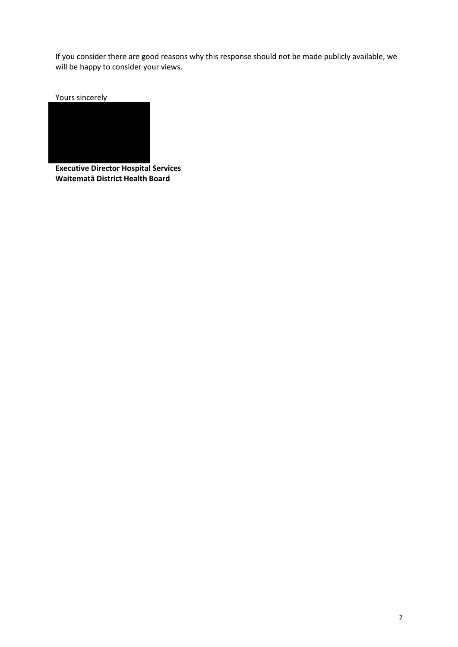If you consider there are good reasons why this response should not be made publicly available, we will be happy to consider your views.

Yours sincerely



**Executive Director Hospital Services Waitematā District Health Board**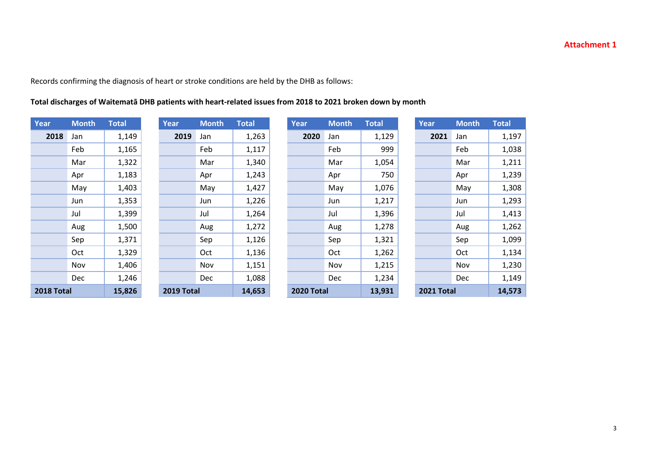## **Attachment 1**

Records confirming the diagnosis of heart or stroke conditions are held by the DHB as follows:

## **Total discharges of Waitematā DHB patients with heart-related issues from 2018 to 2021 broken down by month**

| Year       | <b>Month</b> | <b>Total</b> | Year       | <b>Month</b> | <b>Total</b> | <b>Year</b>       | <b>Month</b> | <b>Total</b> | Year       | <b>Month</b> | <b>Total</b> |
|------------|--------------|--------------|------------|--------------|--------------|-------------------|--------------|--------------|------------|--------------|--------------|
| 2018       | Jan          | 1,149        | 2019       | Jan          | 1,263        | 2020              | Jan          | 1,129        | 2021       | Jan          | 1,197        |
|            | Feb          | 1,165        |            | Feb          | 1,117        |                   | Feb          | 999          |            | Feb          | 1,038        |
|            | Mar          | 1,322        |            | Mar          | 1,340        |                   | Mar          | 1,054        |            | Mar          | 1,211        |
|            | Apr          | 1,183        |            | Apr          | 1,243        |                   | Apr          | 750          |            | Apr          | 1,239        |
|            | May          | 1,403        |            | May          | 1,427        |                   | May          | 1,076        |            | May          | 1,308        |
|            | Jun          | 1,353        |            | Jun          | 1,226        |                   | Jun          | 1,217        |            | Jun          | 1,293        |
|            | Jul          | 1,399        |            | Jul          | 1,264        |                   | Jul          | 1,396        |            | Jul          | 1,413        |
|            | Aug          | 1,500        |            | Aug          | 1,272        |                   | Aug          | 1,278        |            | Aug          | 1,262        |
|            | Sep          | 1,371        |            | Sep          | 1,126        |                   | Sep          | 1,321        |            | Sep          | 1,099        |
|            | Oct          | 1,329        |            | Oct          | 1,136        |                   | Oct          | 1,262        |            | Oct          | 1,134        |
|            | Nov          | 1,406        |            | Nov          | 1,151        |                   | Nov          | 1,215        |            | Nov          | 1,230        |
|            | <b>Dec</b>   | 1,246        |            | <b>Dec</b>   | 1,088        |                   | <b>Dec</b>   | 1,234        |            | <b>Dec</b>   | 1,149        |
| 2018 Total |              | 15,826       | 2019 Total |              | 14,653       | <b>2020 Total</b> |              | 13,931       | 2021 Total |              | 14,573       |

|    | <b>Month</b> | <b>Total</b> | Yea |
|----|--------------|--------------|-----|
| 9. | Jan          | 1,263        |     |
|    | Feb          | 1,117        |     |
|    | Mar          | 1,340        |     |
|    | Apr          | 1,243        |     |
|    | May          | 1,427        |     |
|    | Jun          | 1,226        |     |
|    | Jul          | 1,264        |     |
|    | Aug          | 1,272        |     |
|    | Sep          | 1,126        |     |
|    | Oct          | 1,136        |     |
|    | Nov          | 1,151        |     |
|    | Dec          | 1,088        |     |
|    |              |              |     |

| <b>Month</b> | <b>Total</b> | Year       | <b>Month</b> | <b>Total</b> | Year              | <b>Month</b> | <b>Total</b> | Year       | <b>Month</b> | <b>Total</b> |
|--------------|--------------|------------|--------------|--------------|-------------------|--------------|--------------|------------|--------------|--------------|
| Jan          | 1,149        | 2019       | Jan          | 1,263        | 2020              | Jan          | 1,129        | 2021       | Jan          | 1,197        |
| Feb          | 1,165        |            | Feb          | 1,117        |                   | Feb          | 999          |            | Feb          | 1,038        |
| Mar          | 1,322        |            | Mar          | 1,340        |                   | Mar          | 1,054        |            | Mar          | 1,211        |
| Apr          | 1,183        |            | Apr          | 1,243        |                   | Apr          | 750          |            | Apr          | 1,239        |
| May          | 1,403        |            | May          | 1,427        |                   | May          | 1,076        |            | May          | 1,308        |
| Jun          | 1,353        |            | Jun          | 1,226        |                   | Jun          | 1,217        |            | Jun          | 1,293        |
| Jul          | 1,399        |            | Jul          | 1,264        |                   | Jul          | 1,396        |            | Jul          | 1,413        |
| Aug          | 1,500        |            | Aug          | 1,272        |                   | Aug          | 1,278        |            | Aug          | 1,262        |
| Sep          | 1,371        |            | Sep          | 1,126        |                   | Sep          | 1,321        |            | Sep          | 1,099        |
| Oct          | 1,329        |            | Oct          | 1,136        |                   | Oct          | 1,262        |            | Oct          | 1,134        |
| Nov          | 1,406        |            | Nov          | 1,151        |                   | Nov          | 1,215        |            | Nov          | 1,230        |
| Dec          | 1,246        |            | <b>Dec</b>   | 1,088        |                   | <b>Dec</b>   | 1,234        |            | <b>Dec</b>   | 1,149        |
|              | 15,826       | 2019 Total |              | 14,653       | <b>2020 Total</b> |              | 13,931       | 2021 Total |              | 14,573       |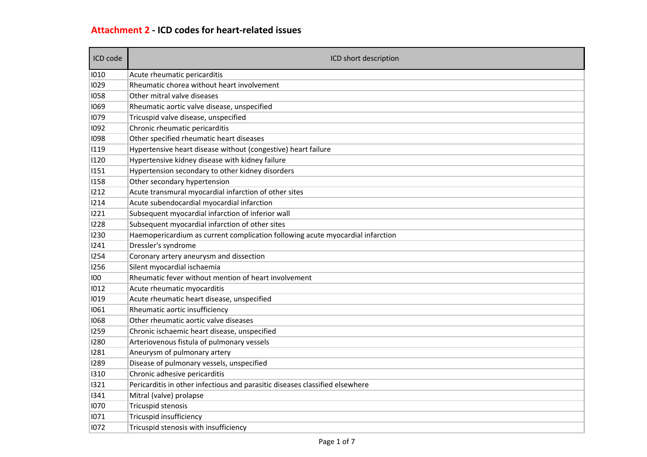# **Attachment 2 - ICD codes for heart-related issues**

| ICD code | ICD short description                                                          |
|----------|--------------------------------------------------------------------------------|
| 1010     | Acute rheumatic pericarditis                                                   |
| 1029     | Rheumatic chorea without heart involvement                                     |
| 1058     | Other mitral valve diseases                                                    |
| 1069     | Rheumatic aortic valve disease, unspecified                                    |
| 1079     | Tricuspid valve disease, unspecified                                           |
| 1092     | Chronic rheumatic pericarditis                                                 |
| 1098     | Other specified rheumatic heart diseases                                       |
| 1119     | Hypertensive heart disease without (congestive) heart failure                  |
| 1120     | Hypertensive kidney disease with kidney failure                                |
| 1151     | Hypertension secondary to other kidney disorders                               |
| 1158     | Other secondary hypertension                                                   |
| 1212     | Acute transmural myocardial infarction of other sites                          |
| 1214     | Acute subendocardial myocardial infarction                                     |
| 1221     | Subsequent myocardial infarction of inferior wall                              |
| 1228     | Subsequent myocardial infarction of other sites                                |
| 1230     | Haemopericardium as current complication following acute myocardial infarction |
| 1241     | Dressler's syndrome                                                            |
| 1254     | Coronary artery aneurysm and dissection                                        |
| 1256     | Silent myocardial ischaemia                                                    |
| 100      | Rheumatic fever without mention of heart involvement                           |
| 1012     | Acute rheumatic myocarditis                                                    |
| 1019     | Acute rheumatic heart disease, unspecified                                     |
| 1061     | Rheumatic aortic insufficiency                                                 |
| 1068     | Other rheumatic aortic valve diseases                                          |
| 1259     | Chronic ischaemic heart disease, unspecified                                   |
| 1280     | Arteriovenous fistula of pulmonary vessels                                     |
| 1281     | Aneurysm of pulmonary artery                                                   |
| 1289     | Disease of pulmonary vessels, unspecified                                      |
| 1310     | Chronic adhesive pericarditis                                                  |
| 1321     | Pericarditis in other infectious and parasitic diseases classified elsewhere   |
| 1341     | Mitral (valve) prolapse                                                        |
| 1070     | Tricuspid stenosis                                                             |
| 1071     | Tricuspid insufficiency                                                        |
| 1072     | Tricuspid stenosis with insufficiency                                          |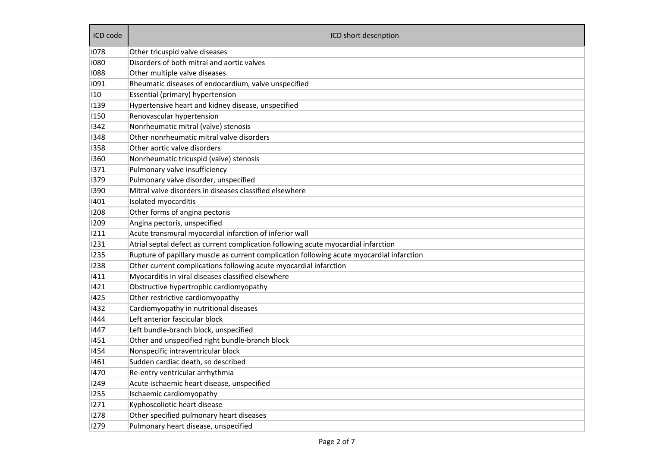| ICD code | ICD short description                                                                     |
|----------|-------------------------------------------------------------------------------------------|
| 1078     | Other tricuspid valve diseases                                                            |
| 1080     | Disorders of both mitral and aortic valves                                                |
| 1088     | Other multiple valve diseases                                                             |
| 1091     | Rheumatic diseases of endocardium, valve unspecified                                      |
| 110      | Essential (primary) hypertension                                                          |
| 1139     | Hypertensive heart and kidney disease, unspecified                                        |
| 1150     | Renovascular hypertension                                                                 |
| 1342     | Nonrheumatic mitral (valve) stenosis                                                      |
| 1348     | Other nonrheumatic mitral valve disorders                                                 |
| 1358     | Other aortic valve disorders                                                              |
| 1360     | Nonrheumatic tricuspid (valve) stenosis                                                   |
| 1371     | Pulmonary valve insufficiency                                                             |
| 1379     | Pulmonary valve disorder, unspecified                                                     |
| 1390     | Mitral valve disorders in diseases classified elsewhere                                   |
| 1401     | Isolated myocarditis                                                                      |
| 1208     | Other forms of angina pectoris                                                            |
| 1209     | Angina pectoris, unspecified                                                              |
| 1211     | Acute transmural myocardial infarction of inferior wall                                   |
| 1231     | Atrial septal defect as current complication following acute myocardial infarction        |
| 1235     | Rupture of papillary muscle as current complication following acute myocardial infarction |
| 1238     | Other current complications following acute myocardial infarction                         |
| 1411     | Myocarditis in viral diseases classified elsewhere                                        |
| 1421     | Obstructive hypertrophic cardiomyopathy                                                   |
| 1425     | Other restrictive cardiomyopathy                                                          |
| 1432     | Cardiomyopathy in nutritional diseases                                                    |
| 1444     | Left anterior fascicular block                                                            |
| 1447     | Left bundle-branch block, unspecified                                                     |
| 1451     | Other and unspecified right bundle-branch block                                           |
| 1454     | Nonspecific intraventricular block                                                        |
| 1461     | Sudden cardiac death, so described                                                        |
| 1470     | Re-entry ventricular arrhythmia                                                           |
| 1249     | Acute ischaemic heart disease, unspecified                                                |
| 1255     | Ischaemic cardiomyopathy                                                                  |
| 1271     | Kyphoscoliotic heart disease                                                              |
| 1278     | Other specified pulmonary heart diseases                                                  |
| 1279     | Pulmonary heart disease, unspecified                                                      |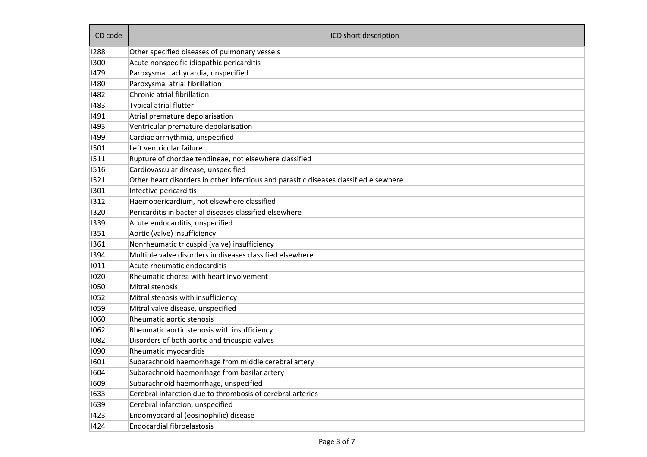| ICD code | ICD short description                                                                 |  |  |  |  |  |
|----------|---------------------------------------------------------------------------------------|--|--|--|--|--|
| 1288     | Other specified diseases of pulmonary vessels                                         |  |  |  |  |  |
| 1300     | Acute nonspecific idiopathic pericarditis                                             |  |  |  |  |  |
| 1479     | Paroxysmal tachycardia, unspecified                                                   |  |  |  |  |  |
| 1480     | Paroxysmal atrial fibrillation                                                        |  |  |  |  |  |
| 1482     | Chronic atrial fibrillation                                                           |  |  |  |  |  |
| 1483     | <b>Typical atrial flutter</b>                                                         |  |  |  |  |  |
| 1491     | Atrial premature depolarisation                                                       |  |  |  |  |  |
| 1493     | Ventricular premature depolarisation                                                  |  |  |  |  |  |
| 1499     | Cardiac arrhythmia, unspecified                                                       |  |  |  |  |  |
| 1501     | Left ventricular failure                                                              |  |  |  |  |  |
| 1511     | Rupture of chordae tendineae, not elsewhere classified                                |  |  |  |  |  |
| 1516     | Cardiovascular disease, unspecified                                                   |  |  |  |  |  |
| 1521     | Other heart disorders in other infectious and parasitic diseases classified elsewhere |  |  |  |  |  |
| 1301     | Infective pericarditis                                                                |  |  |  |  |  |
| 1312     | Haemopericardium, not elsewhere classified                                            |  |  |  |  |  |
| 1320     | Pericarditis in bacterial diseases classified elsewhere                               |  |  |  |  |  |
| 1339     | Acute endocarditis, unspecified                                                       |  |  |  |  |  |
| 1351     | Aortic (valve) insufficiency                                                          |  |  |  |  |  |
| 1361     | Nonrheumatic tricuspid (valve) insufficiency                                          |  |  |  |  |  |
| 1394     | Multiple valve disorders in diseases classified elsewhere                             |  |  |  |  |  |
| 1011     | Acute rheumatic endocarditis                                                          |  |  |  |  |  |
| 1020     | Rheumatic chorea with heart involvement                                               |  |  |  |  |  |
| 1050     | Mitral stenosis                                                                       |  |  |  |  |  |
| 1052     | Mitral stenosis with insufficiency                                                    |  |  |  |  |  |
| 1059     | Mitral valve disease, unspecified                                                     |  |  |  |  |  |
| 1060     | Rheumatic aortic stenosis                                                             |  |  |  |  |  |
| 1062     | Rheumatic aortic stenosis with insufficiency                                          |  |  |  |  |  |
| 1082     | Disorders of both aortic and tricuspid valves                                         |  |  |  |  |  |
| 1090     | Rheumatic myocarditis                                                                 |  |  |  |  |  |
| 1601     | Subarachnoid haemorrhage from middle cerebral artery                                  |  |  |  |  |  |
| 1604     | Subarachnoid haemorrhage from basilar artery                                          |  |  |  |  |  |
| 1609     | Subarachnoid haemorrhage, unspecified                                                 |  |  |  |  |  |
| 1633     | Cerebral infarction due to thrombosis of cerebral arteries                            |  |  |  |  |  |
| 1639     | Cerebral infarction, unspecified                                                      |  |  |  |  |  |
| 1423     | Endomyocardial (eosinophilic) disease                                                 |  |  |  |  |  |
| 1424     | <b>Endocardial fibroelastosis</b>                                                     |  |  |  |  |  |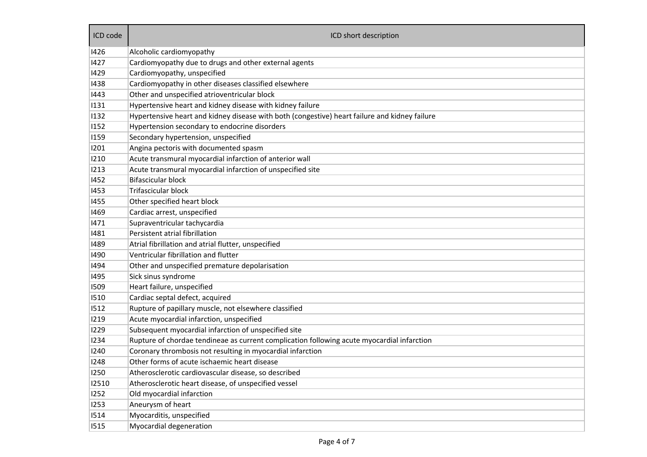| ICD code | ICD short description                                                                         |
|----------|-----------------------------------------------------------------------------------------------|
| 1426     | Alcoholic cardiomyopathy                                                                      |
| 1427     | Cardiomyopathy due to drugs and other external agents                                         |
| 1429     | Cardiomyopathy, unspecified                                                                   |
| 1438     | Cardiomyopathy in other diseases classified elsewhere                                         |
| 1443     | Other and unspecified atrioventricular block                                                  |
| 1131     | Hypertensive heart and kidney disease with kidney failure                                     |
| 1132     | Hypertensive heart and kidney disease with both (congestive) heart failure and kidney failure |
| 1152     | Hypertension secondary to endocrine disorders                                                 |
| 1159     | Secondary hypertension, unspecified                                                           |
| 1201     | Angina pectoris with documented spasm                                                         |
| 1210     | Acute transmural myocardial infarction of anterior wall                                       |
| 1213     | Acute transmural myocardial infarction of unspecified site                                    |
| 1452     | <b>Bifascicular block</b>                                                                     |
| 1453     | <b>Trifascicular block</b>                                                                    |
| 1455     | Other specified heart block                                                                   |
| 1469     | Cardiac arrest, unspecified                                                                   |
| 1471     | Supraventricular tachycardia                                                                  |
| 1481     | Persistent atrial fibrillation                                                                |
| 1489     | Atrial fibrillation and atrial flutter, unspecified                                           |
| 1490     | Ventricular fibrillation and flutter                                                          |
| 1494     | Other and unspecified premature depolarisation                                                |
| 1495     | Sick sinus syndrome                                                                           |
| 1509     | Heart failure, unspecified                                                                    |
| 1510     | Cardiac septal defect, acquired                                                               |
| 1512     | Rupture of papillary muscle, not elsewhere classified                                         |
| 1219     | Acute myocardial infarction, unspecified                                                      |
| 1229     | Subsequent myocardial infarction of unspecified site                                          |
| 1234     | Rupture of chordae tendineae as current complication following acute myocardial infarction    |
| 1240     | Coronary thrombosis not resulting in myocardial infarction                                    |
| 1248     | Other forms of acute ischaemic heart disease                                                  |
| 1250     | Atherosclerotic cardiovascular disease, so described                                          |
| 12510    | Atherosclerotic heart disease, of unspecified vessel                                          |
| 1252     | Old myocardial infarction                                                                     |
| 1253     | Aneurysm of heart                                                                             |
| 1514     | Myocarditis, unspecified                                                                      |
| 1515     | Myocardial degeneration                                                                       |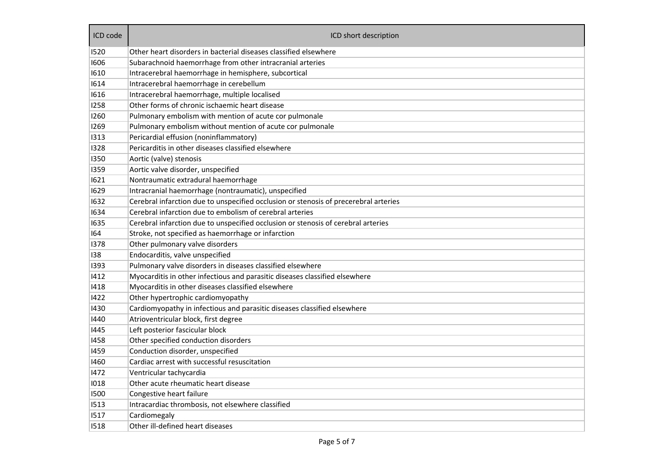| ICD code | ICD short description                                                                |  |  |  |  |  |
|----------|--------------------------------------------------------------------------------------|--|--|--|--|--|
| 1520     | Other heart disorders in bacterial diseases classified elsewhere                     |  |  |  |  |  |
| 1606     | Subarachnoid haemorrhage from other intracranial arteries                            |  |  |  |  |  |
| 1610     | Intracerebral haemorrhage in hemisphere, subcortical                                 |  |  |  |  |  |
| 1614     | Intracerebral haemorrhage in cerebellum                                              |  |  |  |  |  |
| 1616     | Intracerebral haemorrhage, multiple localised                                        |  |  |  |  |  |
| 1258     | Other forms of chronic ischaemic heart disease                                       |  |  |  |  |  |
| 1260     | Pulmonary embolism with mention of acute cor pulmonale                               |  |  |  |  |  |
| 1269     | Pulmonary embolism without mention of acute cor pulmonale                            |  |  |  |  |  |
| 1313     | Pericardial effusion (noninflammatory)                                               |  |  |  |  |  |
| 1328     | Pericarditis in other diseases classified elsewhere                                  |  |  |  |  |  |
| 1350     | Aortic (valve) stenosis                                                              |  |  |  |  |  |
| 1359     | Aortic valve disorder, unspecified                                                   |  |  |  |  |  |
| 1621     | Nontraumatic extradural haemorrhage                                                  |  |  |  |  |  |
| 1629     | Intracranial haemorrhage (nontraumatic), unspecified                                 |  |  |  |  |  |
| 1632     | Cerebral infarction due to unspecified occlusion or stenosis of precerebral arteries |  |  |  |  |  |
| 1634     | Cerebral infarction due to embolism of cerebral arteries                             |  |  |  |  |  |
| 1635     | Cerebral infarction due to unspecified occlusion or stenosis of cerebral arteries    |  |  |  |  |  |
| 164      | Stroke, not specified as haemorrhage or infarction                                   |  |  |  |  |  |
| 1378     | Other pulmonary valve disorders                                                      |  |  |  |  |  |
| 138      | Endocarditis, valve unspecified                                                      |  |  |  |  |  |
| 1393     | Pulmonary valve disorders in diseases classified elsewhere                           |  |  |  |  |  |
| 1412     | Myocarditis in other infectious and parasitic diseases classified elsewhere          |  |  |  |  |  |
| 1418     | Myocarditis in other diseases classified elsewhere                                   |  |  |  |  |  |
| 1422     | Other hypertrophic cardiomyopathy                                                    |  |  |  |  |  |
| 1430     | Cardiomyopathy in infectious and parasitic diseases classified elsewhere             |  |  |  |  |  |
| 1440     | Atrioventricular block, first degree                                                 |  |  |  |  |  |
| 1445     | Left posterior fascicular block                                                      |  |  |  |  |  |
| 1458     | Other specified conduction disorders                                                 |  |  |  |  |  |
| 1459     | Conduction disorder, unspecified                                                     |  |  |  |  |  |
| 1460     | Cardiac arrest with successful resuscitation                                         |  |  |  |  |  |
| 1472     | Ventricular tachycardia                                                              |  |  |  |  |  |
| 1018     | Other acute rheumatic heart disease                                                  |  |  |  |  |  |
| 1500     | Congestive heart failure                                                             |  |  |  |  |  |
| 1513     | Intracardiac thrombosis, not elsewhere classified                                    |  |  |  |  |  |
| 1517     | Cardiomegaly                                                                         |  |  |  |  |  |
| 1518     | Other ill-defined heart diseases                                                     |  |  |  |  |  |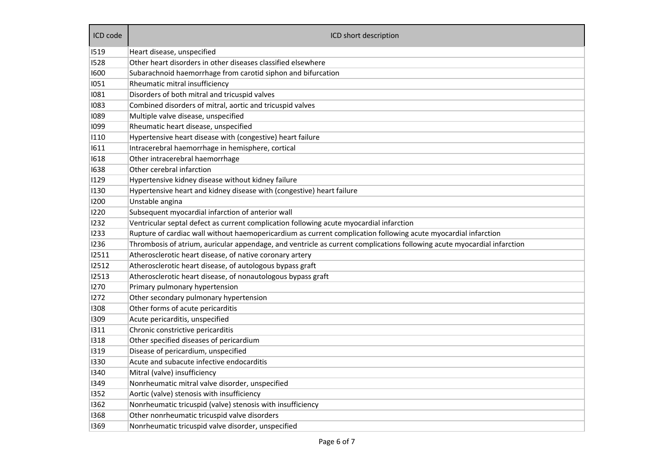| ICD code | ICD short description                                                                                                   |  |  |  |  |  |
|----------|-------------------------------------------------------------------------------------------------------------------------|--|--|--|--|--|
| 1519     | Heart disease, unspecified                                                                                              |  |  |  |  |  |
| 1528     | Other heart disorders in other diseases classified elsewhere                                                            |  |  |  |  |  |
| 1600     | Subarachnoid haemorrhage from carotid siphon and bifurcation                                                            |  |  |  |  |  |
| 1051     | Rheumatic mitral insufficiency                                                                                          |  |  |  |  |  |
| 1081     | Disorders of both mitral and tricuspid valves                                                                           |  |  |  |  |  |
| 1083     | Combined disorders of mitral, aortic and tricuspid valves                                                               |  |  |  |  |  |
| 1089     | Multiple valve disease, unspecified                                                                                     |  |  |  |  |  |
| 1099     | Rheumatic heart disease, unspecified                                                                                    |  |  |  |  |  |
| 1110     | Hypertensive heart disease with (congestive) heart failure                                                              |  |  |  |  |  |
| 1611     | Intracerebral haemorrhage in hemisphere, cortical                                                                       |  |  |  |  |  |
| 1618     | Other intracerebral haemorrhage                                                                                         |  |  |  |  |  |
| 1638     | Other cerebral infarction                                                                                               |  |  |  |  |  |
| 1129     | Hypertensive kidney disease without kidney failure                                                                      |  |  |  |  |  |
| 1130     | Hypertensive heart and kidney disease with (congestive) heart failure                                                   |  |  |  |  |  |
| 1200     | Unstable angina                                                                                                         |  |  |  |  |  |
| 1220     | Subsequent myocardial infarction of anterior wall                                                                       |  |  |  |  |  |
| 1232     | Ventricular septal defect as current complication following acute myocardial infarction                                 |  |  |  |  |  |
| 1233     | Rupture of cardiac wall without haemopericardium as current complication following acute myocardial infarction          |  |  |  |  |  |
| 1236     | Thrombosis of atrium, auricular appendage, and ventricle as current complications following acute myocardial infarction |  |  |  |  |  |
| 12511    | Atherosclerotic heart disease, of native coronary artery                                                                |  |  |  |  |  |
| 12512    | Atherosclerotic heart disease, of autologous bypass graft                                                               |  |  |  |  |  |
| 12513    | Atherosclerotic heart disease, of nonautologous bypass graft                                                            |  |  |  |  |  |
| 1270     | Primary pulmonary hypertension                                                                                          |  |  |  |  |  |
| 1272     | Other secondary pulmonary hypertension                                                                                  |  |  |  |  |  |
| 1308     | Other forms of acute pericarditis                                                                                       |  |  |  |  |  |
| 1309     | Acute pericarditis, unspecified                                                                                         |  |  |  |  |  |
| 1311     | Chronic constrictive pericarditis                                                                                       |  |  |  |  |  |
| 1318     | Other specified diseases of pericardium                                                                                 |  |  |  |  |  |
| 1319     | Disease of pericardium, unspecified                                                                                     |  |  |  |  |  |
| 1330     | Acute and subacute infective endocarditis                                                                               |  |  |  |  |  |
| 1340     | Mitral (valve) insufficiency                                                                                            |  |  |  |  |  |
| 1349     | Nonrheumatic mitral valve disorder, unspecified                                                                         |  |  |  |  |  |
| 1352     | Aortic (valve) stenosis with insufficiency                                                                              |  |  |  |  |  |
| 1362     | Nonrheumatic tricuspid (valve) stenosis with insufficiency                                                              |  |  |  |  |  |
| 1368     | Other nonrheumatic tricuspid valve disorders                                                                            |  |  |  |  |  |
| 1369     | Nonrheumatic tricuspid valve disorder, unspecified                                                                      |  |  |  |  |  |